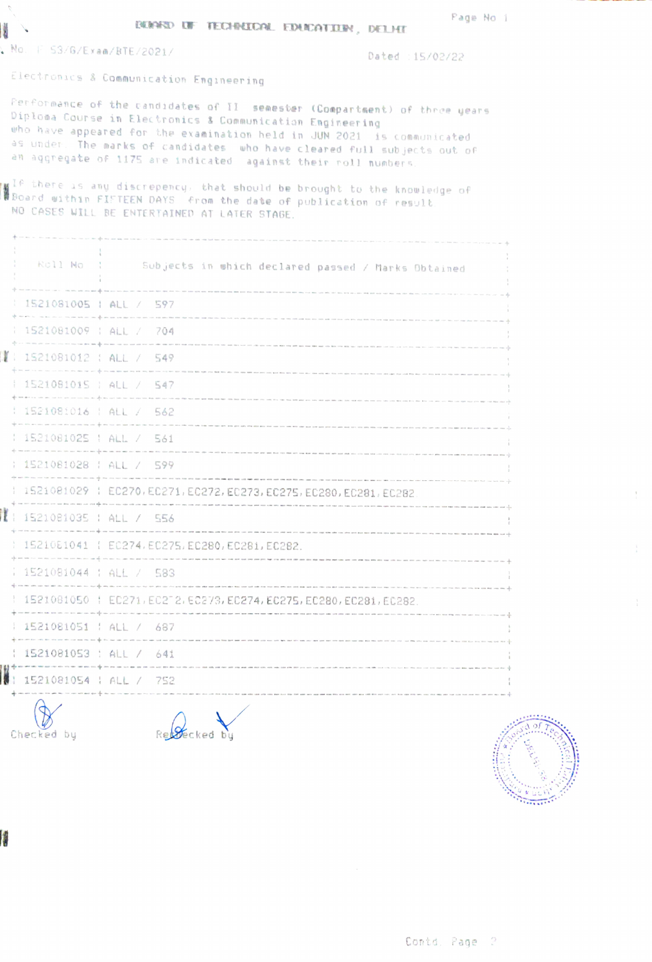**BUNKD UF TECHNICAL EDUCATION, DELHI** 

No. F 53/G/Exam/BTE/2021/

H

Dated : 15/02/22

Electronics & Communication Engineering

Performance of the candidates of II semester (Compartment) of three years Diplosa Course in Electronics & Communication Engineering who have appeared for the examination held in JUN 2021 is communicated as under. The marks of candidates who have cleared full subjects out of an aggregate of 1175 are indicated against their roll numbers.

 $\underline{\underline{\mathbf{M}}}^{\text{LP}}$  there is any discrepency, that should be brought to the knowledge of Board within FIFTEEN DAYS from the date of publication of result. NO CASES WILL BE ENTERTAINED AT LATER STAGE.

| Roll No (1               | Subjects in which declared passed / Marks Obtained                    |
|--------------------------|-----------------------------------------------------------------------|
| 1521081005   ALL / 597   |                                                                       |
| 1 1521081009 : ALL / 704 |                                                                       |
| $1521081012$ ; ALL / 549 |                                                                       |
| [ 1521081015   ALL / 547 |                                                                       |
| : 1521081016 : ALL / 562 |                                                                       |
| 1521081025   ALL / 561   |                                                                       |
| : 1521081028 : ALL / 599 |                                                                       |
|                          | 1 1521081029 1 EC270, EC271, EC272, EC273, EC275, EC280, EC281, EC282 |
| 1 1521081035 : ALL / 556 |                                                                       |
|                          | 1521081041   EC274, EC275, EC280, EC281, EC282.                       |
| 1521081044 : ALL / 583   |                                                                       |
|                          | 1521081050   EC271, EC272, EC273, EC274, EC275, EC280, EC281, EC282.  |
| 1521081051   ALL / 687   |                                                                       |
| $1521081053$ ; ALL / 641 |                                                                       |
| 1521081054   ALL / 752   |                                                                       |
|                          |                                                                       |

Checked by

Received by